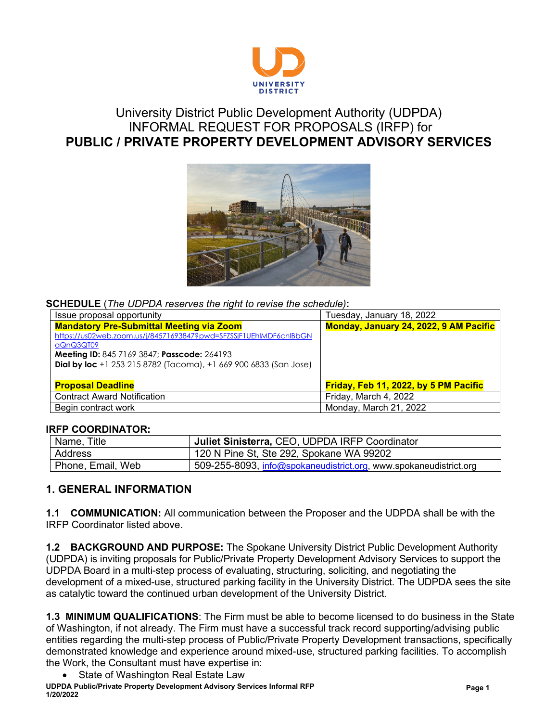

## University District Public Development Authority (UDPDA) INFORMAL REQUEST FOR PROPOSALS (IRFP) for **PUBLIC / PRIVATE PROPERTY DEVELOPMENT ADVISORY SERVICES**



#### **SCHEDULE** (*The UDPDA reserves the right to revise the schedule)***:**

| Issue proposal opportunity                                              | Tuesday, January 18, 2022              |
|-------------------------------------------------------------------------|----------------------------------------|
| <b>Mandatory Pre-Submittal Meeting via Zoom</b>                         | Monday, January 24, 2022, 9 AM Pacific |
| https://us02web.zoom.us/j/84571693847?pwd=SFZSSjF1UEhlMDF6cnlBbGN       |                                        |
| aQnQ3QT09                                                               |                                        |
| Meeting ID: 845 7169 3847; Passcode: 264193                             |                                        |
| <b>Dial by loc</b> +1 253 215 8782 (Tacoma), +1 669 900 6833 (San Jose) |                                        |
|                                                                         |                                        |
| <b>Proposal Deadline</b>                                                | Friday, Feb 11, 2022, by 5 PM Pacific  |
| <b>Contract Award Notification</b>                                      | Friday, March 4, 2022                  |
| Begin contract work                                                     | Monday, March 21, 2022                 |

#### **IRFP COORDINATOR:**

| Name, Title       | Uuliet Sinisterra, CEO, UDPDA IRFP Coordinator                              |  |
|-------------------|-----------------------------------------------------------------------------|--|
| Address           | 120 N Pine St, Ste 292, Spokane WA 99202                                    |  |
| Phone, Email, Web | , 509-255-8093, <u>info@spokaneudistrict.org</u> , www.spokaneudistrict.org |  |

### **1. GENERAL INFORMATION**

**1.1 COMMUNICATION:** All communication between the Proposer and the UDPDA shall be with the IRFP Coordinator listed above.

**1.2 BACKGROUND AND PURPOSE:** The Spokane University District Public Development Authority (UDPDA) is inviting proposals for Public/Private Property Development Advisory Services to support the UDPDA Board in a multi-step process of evaluating, structuring, soliciting, and negotiating the development of a mixed-use, structured parking facility in the University District. The UDPDA sees the site as catalytic toward the continued urban development of the University District.

**1.3 MINIMUM QUALIFICATIONS**: The Firm must be able to become licensed to do business in the State of Washington, if not already. The Firm must have a successful track record supporting/advising public entities regarding the multi-step process of Public/Private Property Development transactions, specifically demonstrated knowledge and experience around mixed-use, structured parking facilities. To accomplish the Work, the Consultant must have expertise in:

**UDPDA Public/Private Property Development Advisory Services Informal RFP 1/20/2022** State of Washington Real Estate Law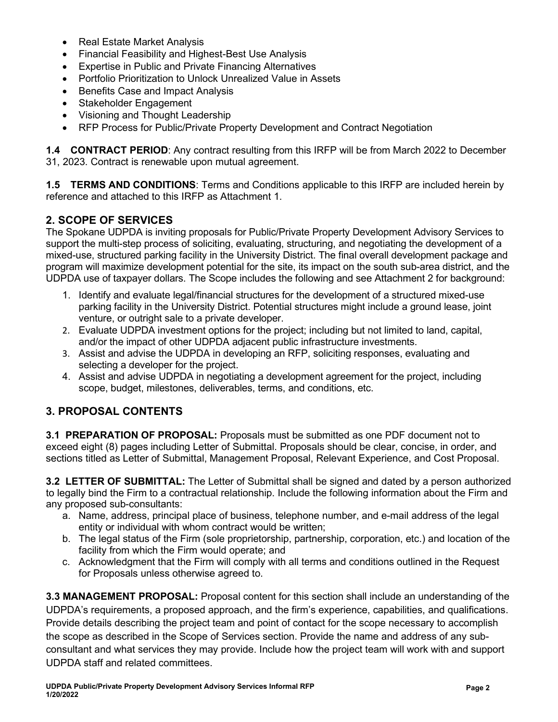- Real Estate Market Analysis
- Financial Feasibility and Highest-Best Use Analysis
- Expertise in Public and Private Financing Alternatives
- Portfolio Prioritization to Unlock Unrealized Value in Assets
- Benefits Case and Impact Analysis
- Stakeholder Engagement
- Visioning and Thought Leadership
- RFP Process for Public/Private Property Development and Contract Negotiation

**1.4 CONTRACT PERIOD**: Any contract resulting from this IRFP will be from March 2022 to December 31, 2023. Contract is renewable upon mutual agreement.

**1.5 TERMS AND CONDITIONS**: Terms and Conditions applicable to this IRFP are included herein by reference and attached to this IRFP as Attachment 1.

## **2. SCOPE OF SERVICES**

The Spokane UDPDA is inviting proposals for Public/Private Property Development Advisory Services to support the multi-step process of soliciting, evaluating, structuring, and negotiating the development of a mixed-use, structured parking facility in the University District. The final overall development package and program will maximize development potential for the site, its impact on the south sub-area district, and the UDPDA use of taxpayer dollars. The Scope includes the following and see Attachment 2 for background:

- 1. Identify and evaluate legal/financial structures for the development of a structured mixed-use parking facility in the University District. Potential structures might include a ground lease, joint venture, or outright sale to a private developer.
- 2. Evaluate UDPDA investment options for the project; including but not limited to land, capital, and/or the impact of other UDPDA adjacent public infrastructure investments.
- 3. Assist and advise the UDPDA in developing an RFP, soliciting responses, evaluating and selecting a developer for the project.
- 4. Assist and advise UDPDA in negotiating a development agreement for the project, including scope, budget, milestones, deliverables, terms, and conditions, etc.

## **3. PROPOSAL CONTENTS**

**3.1 PREPARATION OF PROPOSAL:** Proposals must be submitted as one PDF document not to exceed eight (8) pages including Letter of Submittal. Proposals should be clear, concise, in order, and sections titled as Letter of Submittal, Management Proposal, Relevant Experience, and Cost Proposal.

**3.2 LETTER OF SUBMITTAL:** The Letter of Submittal shall be signed and dated by a person authorized to legally bind the Firm to a contractual relationship. Include the following information about the Firm and any proposed sub-consultants:

- a. Name, address, principal place of business, telephone number, and e-mail address of the legal entity or individual with whom contract would be written;
- b. The legal status of the Firm (sole proprietorship, partnership, corporation, etc.) and location of the facility from which the Firm would operate; and
- c. Acknowledgment that the Firm will comply with all terms and conditions outlined in the Request for Proposals unless otherwise agreed to.

**3.3 MANAGEMENT PROPOSAL:** Proposal content for this section shall include an understanding of the UDPDA's requirements, a proposed approach, and the firm's experience, capabilities, and qualifications. Provide details describing the project team and point of contact for the scope necessary to accomplish the scope as described in the Scope of Services section. Provide the name and address of any subconsultant and what services they may provide. Include how the project team will work with and support UDPDA staff and related committees.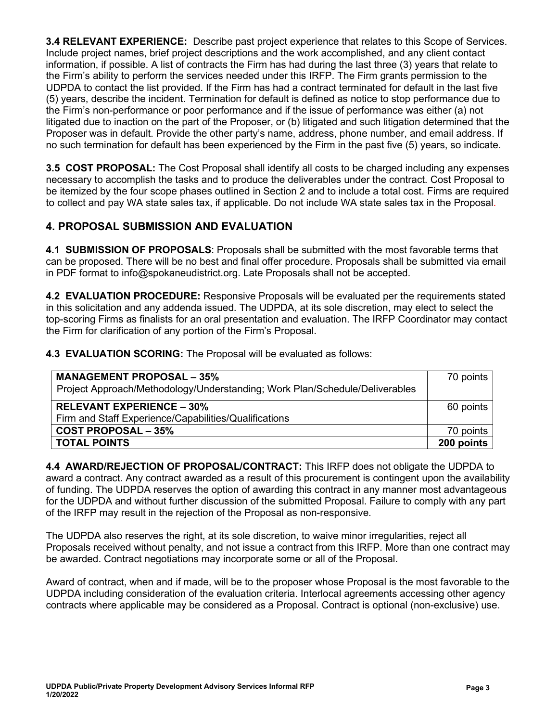**3.4 RELEVANT EXPERIENCE:** Describe past project experience that relates to this Scope of Services. Include project names, brief project descriptions and the work accomplished, and any client contact information, if possible. A list of contracts the Firm has had during the last three (3) years that relate to the Firm's ability to perform the services needed under this IRFP. The Firm grants permission to the UDPDA to contact the list provided. If the Firm has had a contract terminated for default in the last five (5) years, describe the incident. Termination for default is defined as notice to stop performance due to the Firm's non-performance or poor performance and if the issue of performance was either (a) not litigated due to inaction on the part of the Proposer, or (b) litigated and such litigation determined that the Proposer was in default. Provide the other party's name, address, phone number, and email address. If no such termination for default has been experienced by the Firm in the past five (5) years, so indicate.

**3.5 COST PROPOSAL:** The Cost Proposal shall identify all costs to be charged including any expenses necessary to accomplish the tasks and to produce the deliverables under the contract. Cost Proposal to be itemized by the four scope phases outlined in Section 2 and to include a total cost. Firms are required to collect and pay WA state sales tax, if applicable. Do not include WA state sales tax in the Proposal.

### **4. PROPOSAL SUBMISSION AND EVALUATION**

**4.1 SUBMISSION OF PROPOSALS**: Proposals shall be submitted with the most favorable terms that can be proposed. There will be no best and final offer procedure. Proposals shall be submitted via email in PDF format to info@spokaneudistrict.org. Late Proposals shall not be accepted.

**4.2 EVALUATION PROCEDURE:** Responsive Proposals will be evaluated per the requirements stated in this solicitation and any addenda issued. The UDPDA, at its sole discretion, may elect to select the top-scoring Firms as finalists for an oral presentation and evaluation. The IRFP Coordinator may contact the Firm for clarification of any portion of the Firm's Proposal.

**4.3 EVALUATION SCORING:** The Proposal will be evaluated as follows:

| <b>MANAGEMENT PROPOSAL - 35%</b><br>Project Approach/Methodology/Understanding; Work Plan/Schedule/Deliverables | 70 points  |
|-----------------------------------------------------------------------------------------------------------------|------------|
| <b>RELEVANT EXPERIENCE – 30%</b><br>Firm and Staff Experience/Capabilities/Qualifications                       | 60 points  |
| <b>COST PROPOSAL - 35%</b>                                                                                      | 70 points  |
| <b>TOTAL POINTS</b>                                                                                             | 200 points |

**4.4 AWARD/REJECTION OF PROPOSAL/CONTRACT:** This IRFP does not obligate the UDPDA to award a contract. Any contract awarded as a result of this procurement is contingent upon the availability of funding. The UDPDA reserves the option of awarding this contract in any manner most advantageous for the UDPDA and without further discussion of the submitted Proposal. Failure to comply with any part of the IRFP may result in the rejection of the Proposal as non-responsive.

The UDPDA also reserves the right, at its sole discretion, to waive minor irregularities, reject all Proposals received without penalty, and not issue a contract from this IRFP. More than one contract may be awarded. Contract negotiations may incorporate some or all of the Proposal.

Award of contract, when and if made, will be to the proposer whose Proposal is the most favorable to the UDPDA including consideration of the evaluation criteria. Interlocal agreements accessing other agency contracts where applicable may be considered as a Proposal. Contract is optional (non-exclusive) use.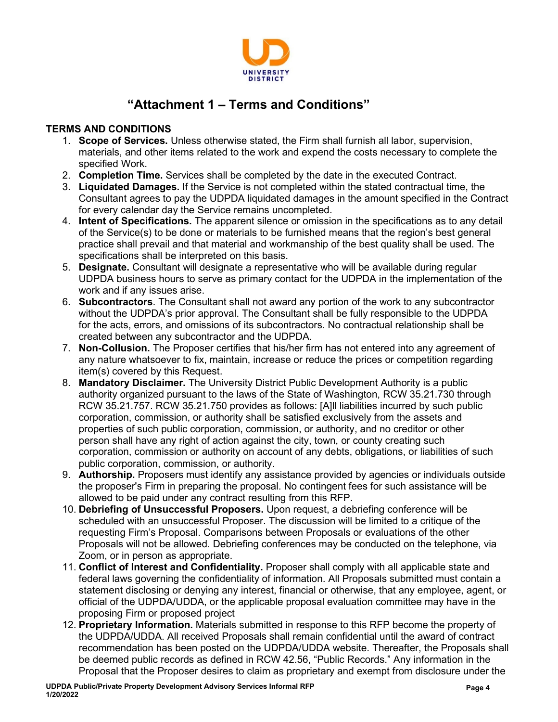

# **"Attachment 1 – Terms and Conditions"**

### **TERMS AND CONDITIONS**

- 1. **Scope of Services.** Unless otherwise stated, the Firm shall furnish all labor, supervision, materials, and other items related to the work and expend the costs necessary to complete the specified Work.
- 2. **Completion Time.** Services shall be completed by the date in the executed Contract.
- 3. **Liquidated Damages.** If the Service is not completed within the stated contractual time, the Consultant agrees to pay the UDPDA liquidated damages in the amount specified in the Contract for every calendar day the Service remains uncompleted.
- 4. **Intent of Specifications.** The apparent silence or omission in the specifications as to any detail of the Service(s) to be done or materials to be furnished means that the region's best general practice shall prevail and that material and workmanship of the best quality shall be used. The specifications shall be interpreted on this basis.
- 5. **Designate.** Consultant will designate a representative who will be available during regular UDPDA business hours to serve as primary contact for the UDPDA in the implementation of the work and if any issues arise.
- 6. **Subcontractors**. The Consultant shall not award any portion of the work to any subcontractor without the UDPDA's prior approval. The Consultant shall be fully responsible to the UDPDA for the acts, errors, and omissions of its subcontractors. No contractual relationship shall be created between any subcontractor and the UDPDA.
- 7. **Non-Collusion.** The Proposer certifies that his/her firm has not entered into any agreement of any nature whatsoever to fix, maintain, increase or reduce the prices or competition regarding item(s) covered by this Request.
- 8. **Mandatory Disclaimer.** The University District Public Development Authority is a public authority organized pursuant to the laws of the State of Washington, RCW 35.21.730 through RCW 35.21.757. RCW 35.21.750 provides as follows: [A]ll liabilities incurred by such public corporation, commission, or authority shall be satisfied exclusively from the assets and properties of such public corporation, commission, or authority, and no creditor or other person shall have any right of action against the city, town, or county creating such corporation, commission or authority on account of any debts, obligations, or liabilities of such public corporation, commission, or authority.
- 9. **Authorship.** Proposers must identify any assistance provided by agencies or individuals outside the proposer's Firm in preparing the proposal. No contingent fees for such assistance will be allowed to be paid under any contract resulting from this RFP.
- 10. **Debriefing of Unsuccessful Proposers.** Upon request, a debriefing conference will be scheduled with an unsuccessful Proposer. The discussion will be limited to a critique of the requesting Firm's Proposal. Comparisons between Proposals or evaluations of the other Proposals will not be allowed. Debriefing conferences may be conducted on the telephone, via Zoom, or in person as appropriate.
- 11. **Conflict of Interest and Confidentiality.** Proposer shall comply with all applicable state and federal laws governing the confidentiality of information. All Proposals submitted must contain a statement disclosing or denying any interest, financial or otherwise, that any employee, agent, or official of the UDPDA/UDDA, or the applicable proposal evaluation committee may have in the proposing Firm or proposed project
- 12. **Proprietary Information.** Materials submitted in response to this RFP become the property of the UDPDA/UDDA. All received Proposals shall remain confidential until the award of contract recommendation has been posted on the UDPDA/UDDA website. Thereafter, the Proposals shall be deemed public records as defined in RCW 42.56, "Public Records." Any information in the Proposal that the Proposer desires to claim as proprietary and exempt from disclosure under the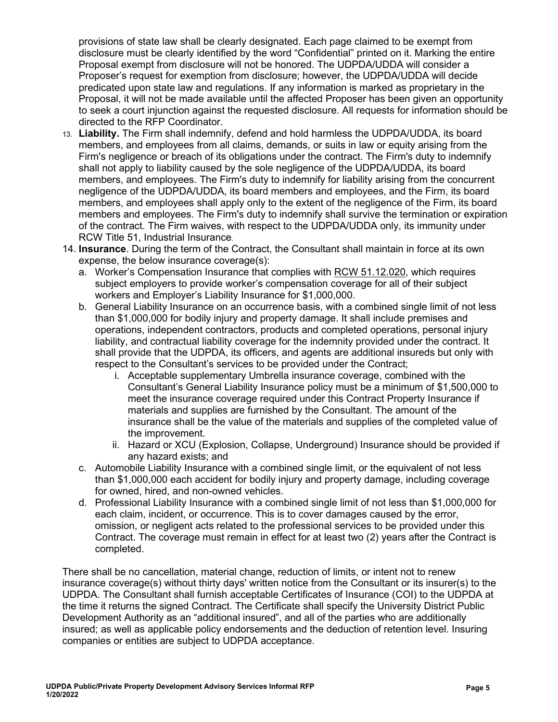provisions of state law shall be clearly designated. Each page claimed to be exempt from disclosure must be clearly identified by the word "Confidential" printed on it. Marking the entire Proposal exempt from disclosure will not be honored. The UDPDA/UDDA will consider a Proposer's request for exemption from disclosure; however, the UDPDA/UDDA will decide predicated upon state law and regulations. If any information is marked as proprietary in the Proposal, it will not be made available until the affected Proposer has been given an opportunity to seek a court injunction against the requested disclosure. All requests for information should be directed to the RFP Coordinator.

- 13. **Liability.** The Firm shall indemnify, defend and hold harmless the UDPDA/UDDA, its board members, and employees from all claims, demands, or suits in law or equity arising from the Firm's negligence or breach of its obligations under the contract. The Firm's duty to indemnify shall not apply to liability caused by the sole negligence of the UDPDA/UDDA, its board members, and employees. The Firm's duty to indemnify for liability arising from the concurrent negligence of the UDPDA/UDDA, its board members and employees, and the Firm, its board members, and employees shall apply only to the extent of the negligence of the Firm, its board members and employees. The Firm's duty to indemnify shall survive the termination or expiration of the contract. The Firm waives, with respect to the UDPDA/UDDA only, its immunity under RCW Title 51, Industrial Insurance.
- 14. **Insurance**. During the term of the Contract, the Consultant shall maintain in force at its own expense, the below insurance coverage(s):
	- a. Worker's Compensation Insurance that complies with [RCW 51.12.020,](https://apps.leg.wa.gov/Rcw/default.aspx?cite=51.12.020) which requires subject employers to provide worker's compensation coverage for all of their subject workers and Employer's Liability Insurance for \$1,000,000.
	- b. General Liability Insurance on an occurrence basis, with a combined single limit of not less than \$1,000,000 for bodily injury and property damage. It shall include premises and operations, independent contractors, products and completed operations, personal injury liability, and contractual liability coverage for the indemnity provided under the contract. It shall provide that the UDPDA, its officers, and agents are additional insureds but only with respect to the Consultant's services to be provided under the Contract;
		- i. Acceptable supplementary Umbrella insurance coverage, combined with the Consultant's General Liability Insurance policy must be a minimum of \$1,500,000 to meet the insurance coverage required under this Contract Property Insurance if materials and supplies are furnished by the Consultant. The amount of the insurance shall be the value of the materials and supplies of the completed value of the improvement.
		- ii. Hazard or XCU (Explosion, Collapse, Underground) Insurance should be provided if any hazard exists; and
	- c. Automobile Liability Insurance with a combined single limit, or the equivalent of not less than \$1,000,000 each accident for bodily injury and property damage, including coverage for owned, hired, and non-owned vehicles.
	- d. Professional Liability Insurance with a combined single limit of not less than \$1,000,000 for each claim, incident, or occurrence. This is to cover damages caused by the error, omission, or negligent acts related to the professional services to be provided under this Contract. The coverage must remain in effect for at least two (2) years after the Contract is completed.

There shall be no cancellation, material change, reduction of limits, or intent not to renew insurance coverage(s) without thirty days' written notice from the Consultant or its insurer(s) to the UDPDA. The Consultant shall furnish acceptable Certificates of Insurance (COI) to the UDPDA at the time it returns the signed Contract. The Certificate shall specify the University District Public Development Authority as an "additional insured", and all of the parties who are additionally insured; as well as applicable policy endorsements and the deduction of retention level. Insuring companies or entities are subject to UDPDA acceptance.